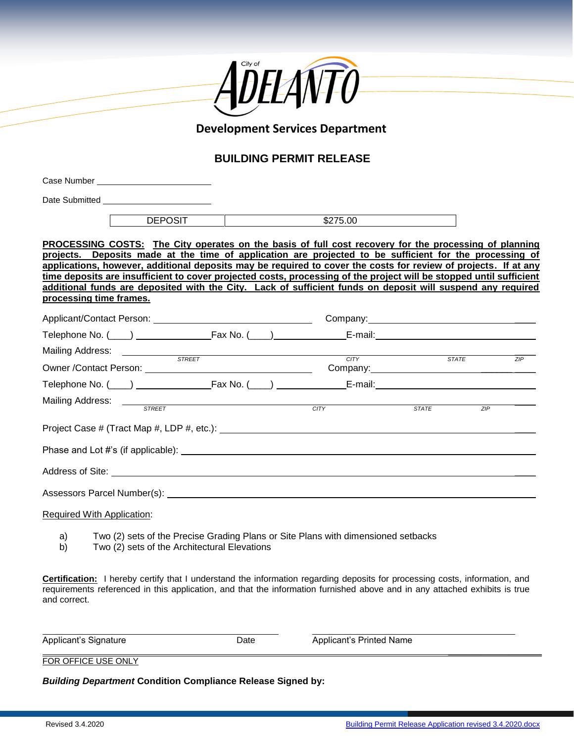

## **Development Services Department**

## **BUILDING PERMIT RELEASE**

|                                                                                                                                               | <b>DEPOSIT</b>          |                                                                                                                                                                                                                                      | \$275.00                                                                                                                                                                                                                                                                                                                                                                                                                                                                                                                                                                  |       |                   |  |
|-----------------------------------------------------------------------------------------------------------------------------------------------|-------------------------|--------------------------------------------------------------------------------------------------------------------------------------------------------------------------------------------------------------------------------------|---------------------------------------------------------------------------------------------------------------------------------------------------------------------------------------------------------------------------------------------------------------------------------------------------------------------------------------------------------------------------------------------------------------------------------------------------------------------------------------------------------------------------------------------------------------------------|-------|-------------------|--|
|                                                                                                                                               | processing time frames. |                                                                                                                                                                                                                                      | PROCESSING COSTS: The City operates on the basis of full cost recovery for the processing of planning<br>projects. Deposits made at the time of application are projected to be sufficient for the processing of<br>applications, however, additional deposits may be required to cover the costs for review of projects. If at any<br>time deposits are insufficient to cover projected costs, processing of the project will be stopped until sufficient<br>additional funds are deposited with the City. Lack of sufficient funds on deposit will suspend any required |       |                   |  |
|                                                                                                                                               |                         |                                                                                                                                                                                                                                      |                                                                                                                                                                                                                                                                                                                                                                                                                                                                                                                                                                           |       | Company: Company: |  |
|                                                                                                                                               |                         |                                                                                                                                                                                                                                      |                                                                                                                                                                                                                                                                                                                                                                                                                                                                                                                                                                           |       |                   |  |
|                                                                                                                                               |                         | Mailing Address: <u>Conservation of the street and the street and the street and the street and the street and the street and the street and the street and the street and the street and the street and the street and the stre</u> | CITY                                                                                                                                                                                                                                                                                                                                                                                                                                                                                                                                                                      | STATE | ZIP               |  |
|                                                                                                                                               |                         |                                                                                                                                                                                                                                      |                                                                                                                                                                                                                                                                                                                                                                                                                                                                                                                                                                           |       |                   |  |
|                                                                                                                                               |                         |                                                                                                                                                                                                                                      |                                                                                                                                                                                                                                                                                                                                                                                                                                                                                                                                                                           |       |                   |  |
|                                                                                                                                               |                         |                                                                                                                                                                                                                                      | CITY                                                                                                                                                                                                                                                                                                                                                                                                                                                                                                                                                                      |       |                   |  |
| Mailing Address: The STREET<br><b>STATE</b><br>ZIP                                                                                            |                         |                                                                                                                                                                                                                                      |                                                                                                                                                                                                                                                                                                                                                                                                                                                                                                                                                                           |       |                   |  |
|                                                                                                                                               |                         |                                                                                                                                                                                                                                      |                                                                                                                                                                                                                                                                                                                                                                                                                                                                                                                                                                           |       |                   |  |
|                                                                                                                                               |                         |                                                                                                                                                                                                                                      |                                                                                                                                                                                                                                                                                                                                                                                                                                                                                                                                                                           |       |                   |  |
| Required With Application:                                                                                                                    |                         |                                                                                                                                                                                                                                      |                                                                                                                                                                                                                                                                                                                                                                                                                                                                                                                                                                           |       |                   |  |
| Two (2) sets of the Precise Grading Plans or Site Plans with dimensioned setbacks<br>a)<br>b)<br>Two (2) sets of the Architectural Elevations |                         |                                                                                                                                                                                                                                      |                                                                                                                                                                                                                                                                                                                                                                                                                                                                                                                                                                           |       |                   |  |
| and correct.                                                                                                                                  |                         |                                                                                                                                                                                                                                      | <b>Certification:</b> I hereby certify that I understand the information regarding deposits for processing costs, information, and<br>requirements referenced in this application, and that the information furnished above and in any attached exhibits is true                                                                                                                                                                                                                                                                                                          |       |                   |  |

| Applicant's Signature | Date | Applicant's Printed Name |  |
|-----------------------|------|--------------------------|--|
| FOR OFFICE USE ONLY   |      |                          |  |

*Building Department* **Condition Compliance Release Signed by:**